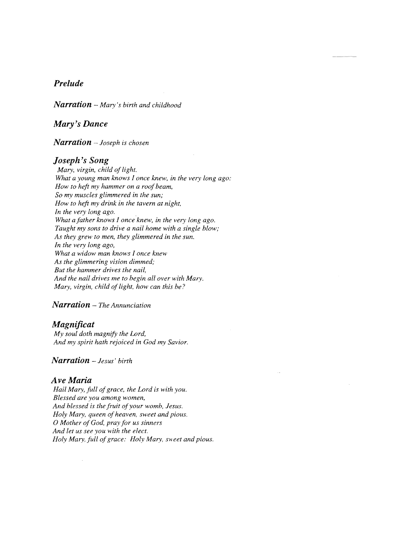# *Prelude*

*Narration* – Mary's birth and childhood

## *Mary's Dance*

*Narration Joseph is chosen* 

#### *Joseph's Song*

*Mary, virgin, child of light. What a young man knows I once knew, in the very long ago: How to heft my hammer on a roof beam, So my muscles glimmered in the sun; How to heft my drink in the tavern at night, In the very long ago.*  What a father knows I once knew, in the very long ago. *Taught my sons to drive a nail home with a single blow; As they grew to men, they glimmered in the sun. In the very long ago, What a widow man knows I once knew As the glimmering vision dimmed; But the hammer drives the nail, And the nail drives me to begin all over with Mary. Mary, virgin, child of light, how can this be?* 

### *Narration The Annunciation*

### *Magnificat*

*My soul doth magnify the Lord, And my spirit hath rejoiced in God my Savior.* 

## *Narration* - *Jesus' birth*

### *Ave Maria*

 $\bar{z}$ 

Hail Mary, full of grace, the Lord is with you. *Blessed are you among women,*  And blessed is the fruit of your womb, Jesus. *Holy Mary, queen of heaven, sweet and pious.* o *Mother ofGod, pra.y for us sinners And let us see you with the elect.* Holy Mary, full of grace: Holy Mary, sweet and pious.